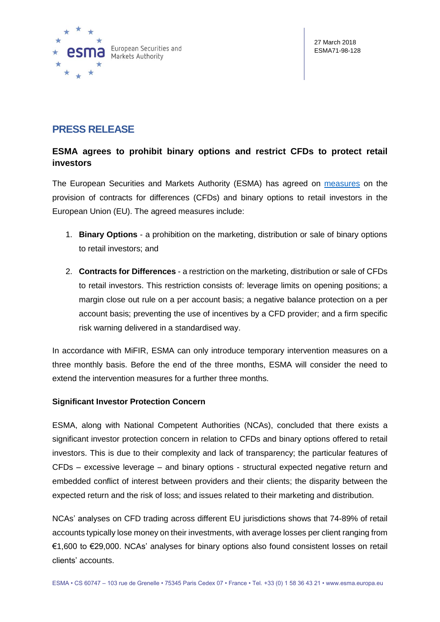

# **PRESS RELEASE**

## **ESMA agrees to prohibit binary options and restrict CFDs to protect retail investors**

The European Securities and Markets Authority (ESMA) has agreed on [measures](https://www.esma.europa.eu/document/additional-information-agreed-product-intervention-measures-relating-contracts-differences) on the provision of contracts for differences (CFDs) and binary options to retail investors in the European Union (EU). The agreed measures include:

- 1. **Binary Options** a prohibition on the marketing, distribution or sale of binary options to retail investors; and
- 2. **Contracts for Differences** a restriction on the marketing, distribution or sale of CFDs to retail investors. This restriction consists of: leverage limits on opening positions; a margin close out rule on a per account basis; a negative balance protection on a per account basis; preventing the use of incentives by a CFD provider; and a firm specific risk warning delivered in a standardised way.

In accordance with MiFIR, ESMA can only introduce temporary intervention measures on a three monthly basis. Before the end of the three months, ESMA will consider the need to extend the intervention measures for a further three months.

## **Significant Investor Protection Concern**

ESMA, along with National Competent Authorities (NCAs), concluded that there exists a significant investor protection concern in relation to CFDs and binary options offered to retail investors. This is due to their complexity and lack of transparency; the particular features of CFDs – excessive leverage – and binary options - structural expected negative return and embedded conflict of interest between providers and their clients; the disparity between the expected return and the risk of loss; and issues related to their marketing and distribution.

NCAs' analyses on CFD trading across different EU jurisdictions shows that 74-89% of retail accounts typically lose money on their investments, with average losses per client ranging from €1,600 to €29,000. NCAs' analyses for binary options also found consistent losses on retail clients' accounts.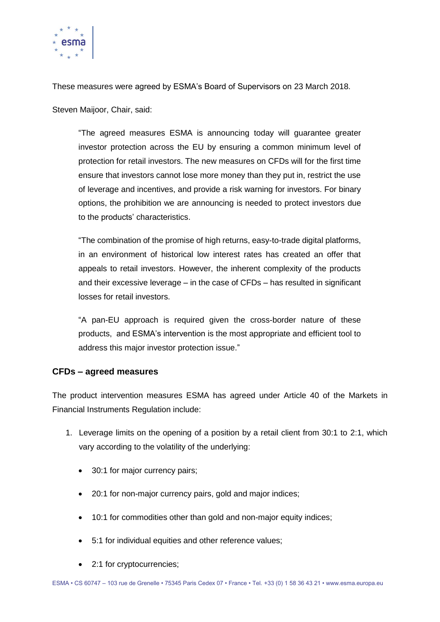

These measures were agreed by ESMA's Board of Supervisors on 23 March 2018.

Steven Maijoor, Chair, said:

"The agreed measures ESMA is announcing today will guarantee greater investor protection across the EU by ensuring a common minimum level of protection for retail investors. The new measures on CFDs will for the first time ensure that investors cannot lose more money than they put in, restrict the use of leverage and incentives, and provide a risk warning for investors. For binary options, the prohibition we are announcing is needed to protect investors due to the products' characteristics.

"The combination of the promise of high returns, easy-to-trade digital platforms, in an environment of historical low interest rates has created an offer that appeals to retail investors. However, the inherent complexity of the products and their excessive leverage – in the case of CFDs – has resulted in significant losses for retail investors.

"A pan-EU approach is required given the cross-border nature of these products, and ESMA's intervention is the most appropriate and efficient tool to address this major investor protection issue."

## **CFDs – agreed measures**

The product intervention measures ESMA has agreed under Article 40 of the Markets in Financial Instruments Regulation include:

- 1. Leverage limits on the opening of a position by a retail client from 30:1 to 2:1, which vary according to the volatility of the underlying:
	- 30:1 for major currency pairs;
	- 20:1 for non-major currency pairs, gold and major indices;
	- 10:1 for commodities other than gold and non-major equity indices;
	- 5:1 for individual equities and other reference values;
	- 2:1 for cryptocurrencies;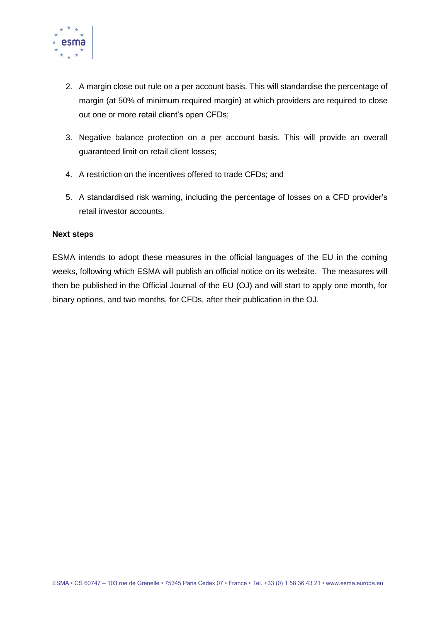

- 2. A margin close out rule on a per account basis. This will standardise the percentage of margin (at 50% of minimum required margin) at which providers are required to close out one or more retail client's open CFDs;
- 3. Negative balance protection on a per account basis. This will provide an overall guaranteed limit on retail client losses;
- 4. A restriction on the incentives offered to trade CFDs; and
- 5. A standardised risk warning, including the percentage of losses on a CFD provider's retail investor accounts.

### **Next steps**

ESMA intends to adopt these measures in the official languages of the EU in the coming weeks, following which ESMA will publish an official notice on its website. The measures will then be published in the Official Journal of the EU (OJ) and will start to apply one month, for binary options, and two months, for CFDs, after their publication in the OJ.